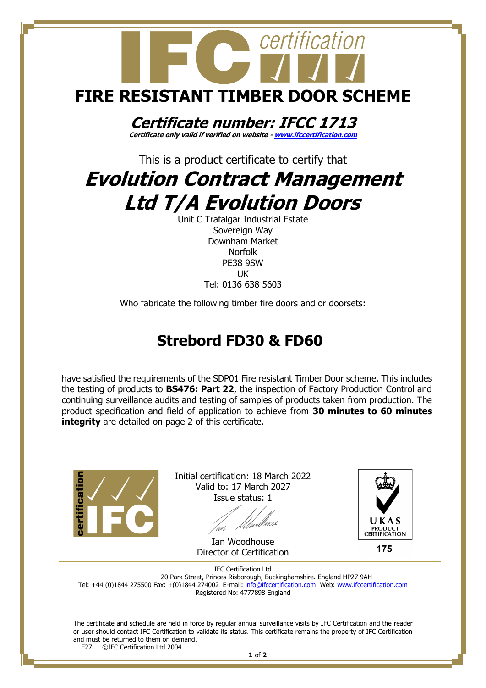

Unit C Trafalgar Industrial Estate Sovereign Way Downham Market Norfolk PE38 9SW UK Tel: 0136 638 5603

Who fabricate the following timber fire doors and or doorsets:

## **Strebord FD30 & FD60**

have satisfied the requirements of the SDP01 Fire resistant Timber Door scheme. This includes the testing of products to **BS476: Part 22**, the inspection of Factory Production Control and continuing surveillance audits and testing of samples of products taken from production. The product specification and field of application to achieve from **30 minutes to 60 minutes integrity** are detailed on page 2 of this certificate.



Initial certification: 18 March 2022 Valid to: 17 March 2027 Issue status: 1

Ian Woodhouse Director of Certification



175

IFC Certification Ltd 20 Park Street, Princes Risborough, Buckinghamshire. England HP27 9AH Tel: +44 (0)1844 275500 Fax: +(0)1844 274002 E-mail[: info@ifccertification.com](mailto:info@ifccertification.com) Web: [www.ifccertification.com](http://www.ifccertification.com/) Registered No: 4777898 England

The certificate and schedule are held in force by regular annual surveillance visits by IFC Certification and the reader or user should contact IFC Certification to validate its status. This certificate remains the property of IFC Certification and must be returned to them on demand.<br>F27  $\odot$  FC Certification Ltd 2004 ©IFC Certification Ltd 2004